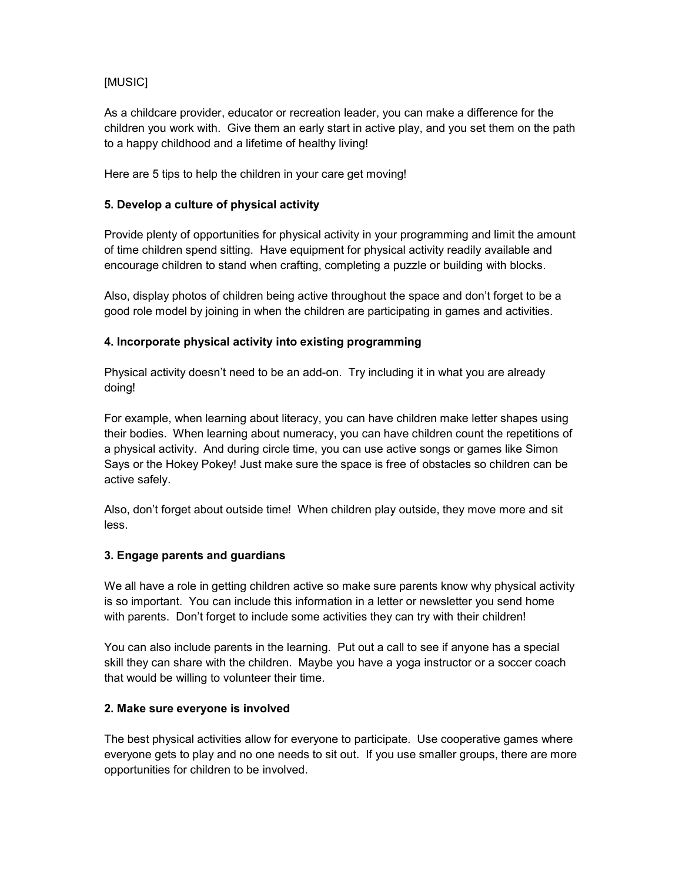# [MUSIC]

As a childcare provider, educator or recreation leader, you can make a difference for the children you work with. Give them an early start in active play, and you set them on the path to a happy childhood and a lifetime of healthy living!

Here are 5 tips to help the children in your care get moving!

### **5. Develop a culture of physical activity**

Provide plenty of opportunities for physical activity in your programming and limit the amount of time children spend sitting. Have equipment for physical activity readily available and encourage children to stand when crafting, completing a puzzle or building with blocks.

Also, display photos of children being active throughout the space and don't forget to be a good role model by joining in when the children are participating in games and activities.

#### **4. Incorporate physical activity into existing programming**

Physical activity doesn't need to be an add-on. Try including it in what you are already doing!

For example, when learning about literacy, you can have children make letter shapes using their bodies. When learning about numeracy, you can have children count the repetitions of a physical activity. And during circle time, you can use active songs or games like Simon Says or the Hokey Pokey! Just make sure the space is free of obstacles so children can be active safely.

Also, don't forget about outside time! When children play outside, they move more and sit less.

## **3. Engage parents and guardians**

We all have a role in getting children active so make sure parents know why physical activity is so important. You can include this information in a letter or newsletter you send home with parents. Don't forget to include some activities they can try with their children!

You can also include parents in the learning. Put out a call to see if anyone has a special skill they can share with the children. Maybe you have a yoga instructor or a soccer coach that would be willing to volunteer their time.

## **2. Make sure everyone is involved**

The best physical activities allow for everyone to participate. Use cooperative games where everyone gets to play and no one needs to sit out. If you use smaller groups, there are more opportunities for children to be involved.